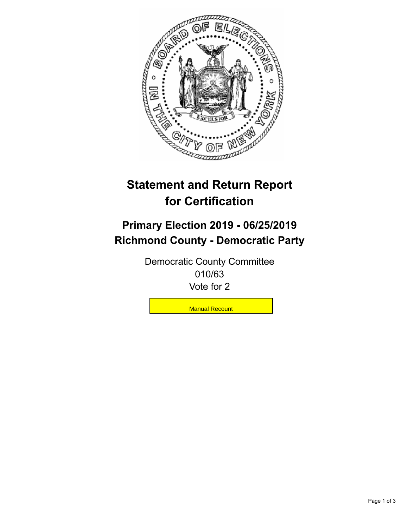

## **Statement and Return Report for Certification**

## **Primary Election 2019 - 06/25/2019 Richmond County - Democratic Party**

Democratic County Committee 010/63 Vote for 2

**Manual Recount**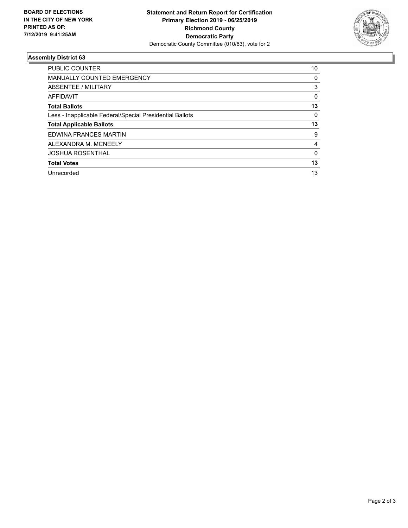

## **Assembly District 63**

| <b>PUBLIC COUNTER</b>                                    | 10 |
|----------------------------------------------------------|----|
| <b>MANUALLY COUNTED EMERGENCY</b>                        | 0  |
| ABSENTEE / MILITARY                                      | 3  |
| AFFIDAVIT                                                | 0  |
| <b>Total Ballots</b>                                     | 13 |
| Less - Inapplicable Federal/Special Presidential Ballots | 0  |
| <b>Total Applicable Ballots</b>                          | 13 |
| EDWINA FRANCES MARTIN                                    | 9  |
| ALEXANDRA M. MCNEELY                                     | 4  |
| <b>JOSHUA ROSENTHAL</b>                                  | 0  |
| <b>Total Votes</b>                                       | 13 |
| Unrecorded                                               | 13 |